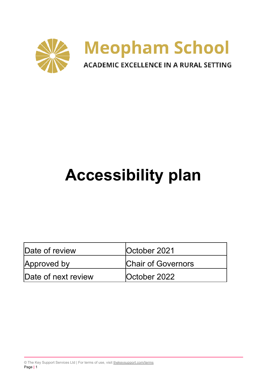

# **Accessibility plan**

| Date of review      | <b>October 2021</b>       |  |  |
|---------------------|---------------------------|--|--|
| Approved by         | <b>Chair of Governors</b> |  |  |
| Date of next review | <b>October 2022</b>       |  |  |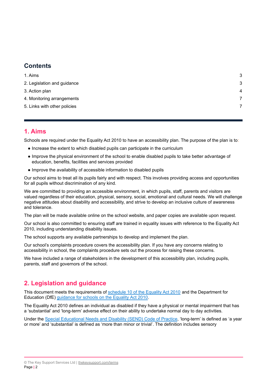## **Contents**

| 1. Aims                      | 3 |
|------------------------------|---|
| 2. Legislation and guidance  | 3 |
| 3. Action plan               | 4 |
| 4. Monitoring arrangements   |   |
| 5. Links with other policies | 7 |
|                              |   |

#### <span id="page-1-0"></span>**1. Aims**

Schools are required under the Equality Act 2010 to have an accessibility plan. The purpose of the plan is to:

- Increase the extent to which disabled pupils can participate in the curriculum
- Improve the physical environment of the school to enable disabled pupils to take better advantage of education, benefits, facilities and services provided
- Improve the availability of accessible information to disabled pupils

Our school aims to treat all its pupils fairly and with respect. This involves providing access and opportunities for all pupils without discrimination of any kind.

We are committed to providing an accessible environment, in which pupils, staff, parents and visitors are valued regardless of their education, physical, sensory, social, emotional and cultural needs. We will challenge negative attitudes about disability and accessibility, and strive to develop an inclusive culture of awareness and tolerance.

The plan will be made available online on the school website, and paper copies are available upon request.

Our school is also committed to ensuring staff are trained in equality issues with reference to the Equality Act 2010, including understanding disability issues.

The school supports any available partnerships to develop and implement the plan.

Our school's complaints procedure covers the accessibility plan. If you have any concerns relating to accessibility in school, the complaints procedure sets out the process for raising these concerns.

<span id="page-1-1"></span>We have included a range of stakeholders in the development of this accessibility plan, including pupils, parents, staff and governors of the school.

## **2. Legislation and guidance**

This document meets the requirements of [schedule](http://www.legislation.gov.uk/ukpga/2010/15/schedule/10) 10 of the Equality Act 2010 and the Department for Education (DfE) [guidance](https://www.gov.uk/government/publications/equality-act-2010-advice-for-schools) for schools on the Equality Act 2010.

The Equality Act 2010 defines an individual as disabled if they have a physical or mental impairment that has a 'substantial' and 'long-term' adverse effect on their ability to undertake normal day to day activities.

Under the Special [Educational](https://www.gov.uk/government/publications/send-code-of-practice-0-to-25) Needs and Disability (SEND) Code of Practice, 'long-term' is defined as 'a year or more' and 'substantial' is defined as 'more than minor or trivial'. The definition includes sensory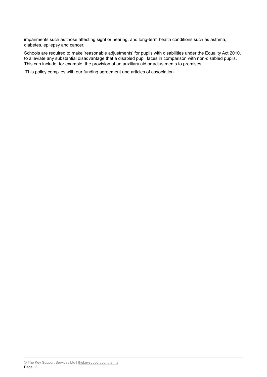impairments such as those affecting sight or hearing, and long-term health conditions such as asthma, diabetes, epilepsy and cancer.

Schools are required to make 'reasonable adjustments' for pupils with disabilities under the Equality Act 2010, to alleviate any substantial disadvantage that a disabled pupil faces in comparison with non-disabled pupils. This can include, for example, the provision of an auxiliary aid or adjustments to premises.

This policy complies with our funding agreement and articles of association.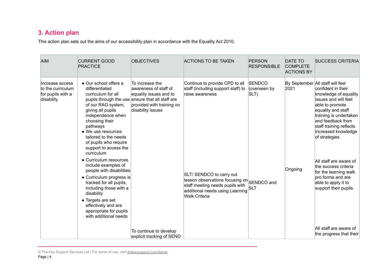# **3. Action plan**

This action plan sets out the aims of our accessibility plan in accordance with the Equality Act 2010.

| <b>AIM</b>                                                              | <b>CURRENT GOOD</b><br><b>PRACTICE</b>                                                                                                                                                                                                                                                                                                                                                                                                                                                                                                                | <b>OBJECTIVES</b>                                                                                                                                                        | <b>ACTIONS TO BE TAKEN</b>                                                                                                                                                                                                                                      | <b>PERSON</b><br><b>RESPONSIBLE</b>                 | <b>DATE TO</b><br><b>COMPLETE</b><br><b>ACTIONS BY</b> | <b>SUCCESS CRITERIA</b>                                                                                                                                                                                                                                                                                                                                                                                            |
|-------------------------------------------------------------------------|-------------------------------------------------------------------------------------------------------------------------------------------------------------------------------------------------------------------------------------------------------------------------------------------------------------------------------------------------------------------------------------------------------------------------------------------------------------------------------------------------------------------------------------------------------|--------------------------------------------------------------------------------------------------------------------------------------------------------------------------|-----------------------------------------------------------------------------------------------------------------------------------------------------------------------------------------------------------------------------------------------------------------|-----------------------------------------------------|--------------------------------------------------------|--------------------------------------------------------------------------------------------------------------------------------------------------------------------------------------------------------------------------------------------------------------------------------------------------------------------------------------------------------------------------------------------------------------------|
| Increase access<br>to the curriculum<br>for pupils with a<br>disability | • Our school offers a<br>differentiated<br>curriculum for all<br>of our RAG system,<br>giving all pupils<br>independence when<br>choosing their<br>pathways<br>• We use resources<br>tailored to the needs<br>of pupils who require<br>support to access the<br>curriculum<br>• Curriculum resources<br>include examples of<br>people with disabilities<br>• Curriculum progress is<br>tracked for all pupils,<br>including those with a<br>disability<br>• Targets are set<br>effectively and are<br>appropriate for pupils<br>with additional needs | To increase the<br>awareness of staff of<br>equality issues and to<br>pupils through the use ensure that all staff are<br>provided with training on<br>disability issues | Continue to provide CPD to all<br>staff (including support staff) to<br>raise awareness<br>SLT/ SENDCO to carry out<br>lesson observations focusing on SENDCO and<br>staff meeting needs pupils with<br>additional needs using Learning<br><b>Walk Criteria</b> | <b>ISENDCO</b><br>(overseen by<br>SLT<br><b>SLT</b> | 2021<br>Ongoing                                        | By September All staff will feel<br>confident in their<br>knowledge of equality<br>issues and will feel<br>able to promote<br>equality and staff<br>training is undertaken<br>and feedback from<br>staff training reflects<br>increased knowledge<br>of strategies<br>All staff are aware of<br>the success criteria<br>for the learning walk<br>pro forma and are<br>able to apply it to<br>support their pupils. |
|                                                                         |                                                                                                                                                                                                                                                                                                                                                                                                                                                                                                                                                       | To continue to develop<br>explicit tracking of SEND                                                                                                                      |                                                                                                                                                                                                                                                                 |                                                     |                                                        | All staff are aware of<br>the progress that their                                                                                                                                                                                                                                                                                                                                                                  |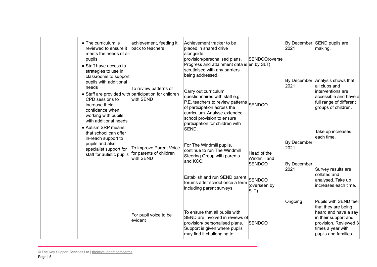| • The curriculum is<br>reviewed to ensure it<br>meets the needs of all<br>pupils<br>• Staff have access to<br>strategies to use in<br>classrooms to support                                                                                    | achievement, feeding it<br>back to teachers.                    | Achievement tracker to be<br>placed in shared drive<br>alongside<br>provision/personalised plans.<br>Progress and attainment data is en by SLT)<br>scrutinised with any barriers<br>being addressed.                                | SENDCO(overse                                                                         | By December<br>2021                        | SEND pupils are<br>making.                                                                                                                                            |
|------------------------------------------------------------------------------------------------------------------------------------------------------------------------------------------------------------------------------------------------|-----------------------------------------------------------------|-------------------------------------------------------------------------------------------------------------------------------------------------------------------------------------------------------------------------------------|---------------------------------------------------------------------------------------|--------------------------------------------|-----------------------------------------------------------------------------------------------------------------------------------------------------------------------|
| pupils with additional<br>needs<br>• Staff are provided with participation for children<br>CPD sessions to<br>increase their<br>confidence when<br>working with pupils<br>with additional needs<br>• Autism SRP means<br>that school can offer | To review patterns of<br>with SEND                              | Carry out curriculum<br>questionnaires with staff e.g.<br>P.E. teachers to review patterns<br>of participation across the<br>curriculum. Analyse extended<br>school provision to ensure<br>participation for children with<br>SEND. | SENDCO                                                                                | 2021                                       | By December Analysis shows that<br>all clubs and<br>interventions are<br>accessible and have a<br>full range of different<br>groups of children.<br>Take up increases |
| in-reach support to<br>pupils and also<br>specialist support for<br>staff for autistic pupils                                                                                                                                                  | To improve Parent Voice<br>for parents of children<br>with SEND | For The Windmill pupils,<br>continue to run The Windmill<br>Steering Group with parents<br>land KCC.<br>Establish and run SEND parent<br>forums after school once a term<br>including parent surveys.                               | Head of the<br>Windmill and<br><b>SENDCO</b><br><b>SENDCO</b><br>(overseen by<br>SLT) | By December<br>2021<br>By December<br>2021 | each time.<br>Survey results are<br>collated and<br>analysed. Take up<br>increases each time.                                                                         |
|                                                                                                                                                                                                                                                | For pupil voice to be<br>evident                                | To ensure that all pupils with<br>SEND are involved in reviews of<br>provision/ personalised plans.<br>Support is given where pupils<br>may find it challenging to                                                                  | <b>SENDCO</b>                                                                         | Ongoing                                    | Pupils with SEND feel<br>that they are being<br>heard and have a say<br>in their support and<br>provision. Reviewed 3<br>times a year with<br>pupils and families.    |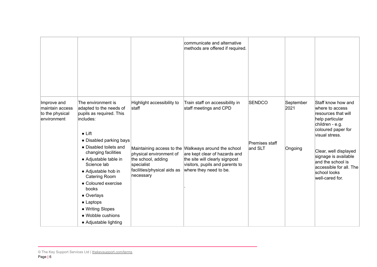|                                                                  |                                                                                                                                                                                                                                                                                                      |                                                                                                         | communicate and alternative<br>methods are offered if required.                                                                                                                      |                           |                   |                                                                                                                                            |
|------------------------------------------------------------------|------------------------------------------------------------------------------------------------------------------------------------------------------------------------------------------------------------------------------------------------------------------------------------------------------|---------------------------------------------------------------------------------------------------------|--------------------------------------------------------------------------------------------------------------------------------------------------------------------------------------|---------------------------|-------------------|--------------------------------------------------------------------------------------------------------------------------------------------|
| Improve and<br>maintain access<br>to the physical<br>environment | The environment is<br>adapted to the needs of<br>pupils as required. This<br>includes:<br>$\bullet$ Lift                                                                                                                                                                                             | Highlight accessibility to<br>staff                                                                     | Train staff on accessibility in<br>staff meetings and CPD                                                                                                                            | <b>SENDCO</b>             | September<br>2021 | Staff know how and<br>where to access<br>resources that will<br>help particular<br>children - e.g.<br>coloured paper for<br>visual stress. |
|                                                                  | • Disabled parking bays<br>• Disabled toilets and<br>changing facilities<br>• Adjustable table in<br>Science lab<br>• Adjustable hob in<br><b>Catering Room</b><br>• Coloured exercise<br>books<br>• Overlays<br>$\bullet$ Laptops<br>• Writing Slopes<br>• Wobble cushions<br>• Adjustable lighting | physical environment of<br>the school, adding<br>specialist<br>facilities/physical aids as<br>necessary | Maintaining access to the Walkways around the school<br>are kept clear of hazards and<br>the site will clearly signpost<br>visitors, pupils and parents to<br>where they need to be. | Premises staff<br>and SLT | Ongoing           | Clear, well displayed<br>signage is available<br>and the school is<br>accessible for all. The<br>school looks<br>well-cared for.           |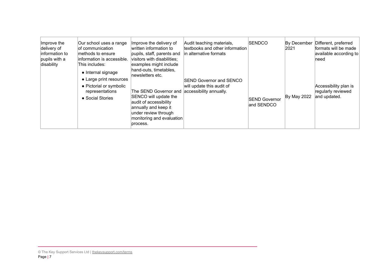| Improve the<br>delivery of<br>information to<br>pupils with a<br>disability | Our school uses a range<br>of communication<br>methods to ensure<br>information is accessible.<br>This includes:<br>• Internal signage<br>• Large print resources<br>• Pictorial or symbolic<br>representations<br>• Social Stories | Improve the delivery of<br>written information to<br>pupils, staff, parents and<br>visitors with disabilities;<br>examples might include<br>hand-outs, timetables,<br>newsletters etc.<br>The SEND Governor and accessibility annually.<br>SENCO will update the<br>audit of accessibility<br>annually and keep it<br>under review through<br>monitoring and evaluation<br>process. | Audit teaching materials,<br>textbooks and other information<br>in alternative formats<br><b>SEND Governor and SENCO</b><br>will update this audit of | <b>SENDCO</b><br><b>SEND Governor</b><br>and SENDCO | By December<br>2021<br>By May 2022 | Different, preferred<br>formats will be made<br>available according to<br>need<br>Accessibility plan is<br>regularly reviewed<br>and updated. |
|-----------------------------------------------------------------------------|-------------------------------------------------------------------------------------------------------------------------------------------------------------------------------------------------------------------------------------|-------------------------------------------------------------------------------------------------------------------------------------------------------------------------------------------------------------------------------------------------------------------------------------------------------------------------------------------------------------------------------------|-------------------------------------------------------------------------------------------------------------------------------------------------------|-----------------------------------------------------|------------------------------------|-----------------------------------------------------------------------------------------------------------------------------------------------|
|                                                                             |                                                                                                                                                                                                                                     |                                                                                                                                                                                                                                                                                                                                                                                     |                                                                                                                                                       |                                                     |                                    |                                                                                                                                               |